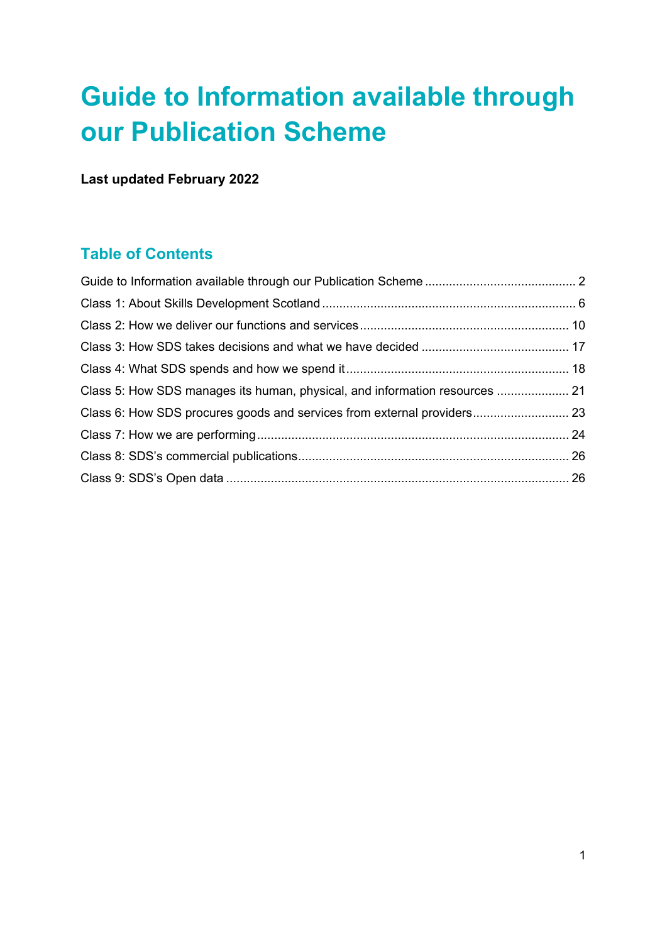# **Guide to Information available through our Publication Scheme**

**Last updated February 2022**

# **Table of Contents**

<span id="page-0-0"></span>

| Class 5: How SDS manages its human, physical, and information resources  21 |  |
|-----------------------------------------------------------------------------|--|
| Class 6: How SDS procures goods and services from external providers 23     |  |
|                                                                             |  |
|                                                                             |  |
|                                                                             |  |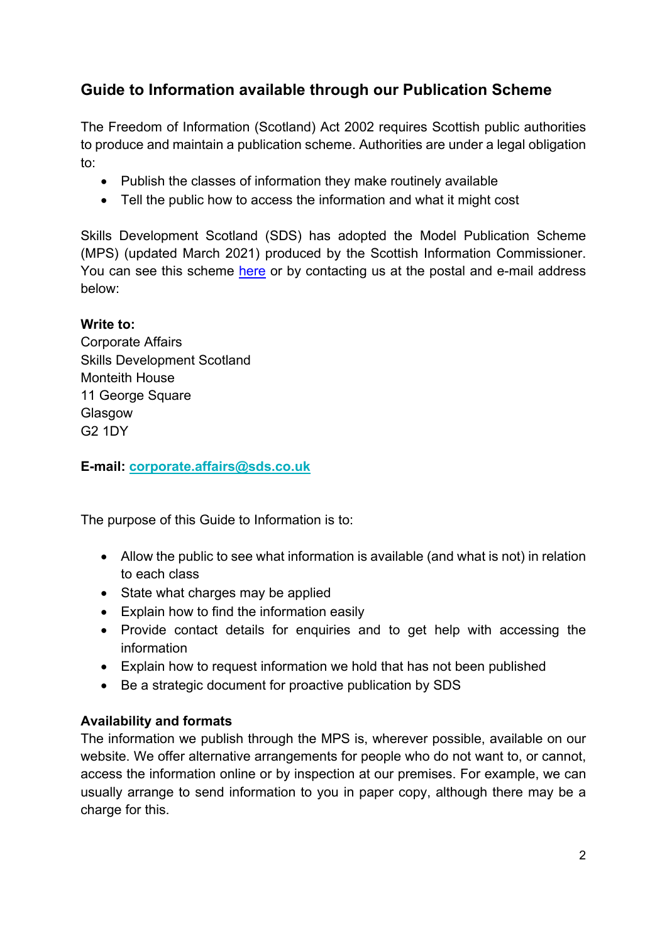# **Guide to Information available through our Publication Scheme**

The Freedom of Information (Scotland) Act 2002 requires Scottish public authorities to produce and maintain a publication scheme. Authorities are under a legal obligation to:

- Publish the classes of information they make routinely available
- Tell the public how to access the information and what it might cost

Skills Development Scotland (SDS) has adopted the Model Publication Scheme (MPS) (updated March 2021) produced by the Scottish Information Commissioner. You can see this scheme [here](http://www.itspublicknowledge.info/ScottishPublicAuthorities/PublicationSchemes/TheModelPublicationScheme.aspx) or by contacting us at the postal and e-mail address below:

#### **Write to:**

Corporate Affairs Skills Development Scotland Monteith House 11 George Square Glasgow G2 1DY

**E-mail: [corporate.affairs@sds.co.uk](mailto:corporate.affairs@sds.co.uk)**

The purpose of this Guide to Information is to:

- Allow the public to see what information is available (and what is not) in relation to each class
- State what charges may be applied
- Explain how to find the information easily
- Provide contact details for enquiries and to get help with accessing the information
- Explain how to request information we hold that has not been published
- Be a strategic document for proactive publication by SDS

#### **Availability and formats**

The information we publish through the MPS is, wherever possible, available on our website. We offer alternative arrangements for people who do not want to, or cannot, access the information online or by inspection at our premises. For example, we can usually arrange to send information to you in paper copy, although there may be a charge for this.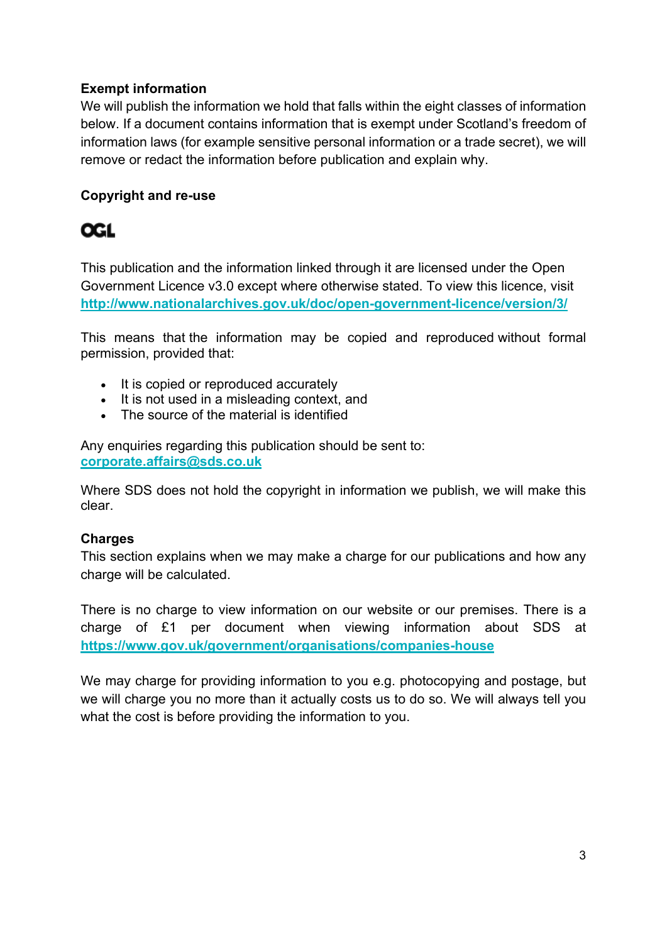### **Exempt information**

We will publish the information we hold that falls within the eight classes of information below. If a document contains information that is exempt under Scotland's freedom of information laws (for example sensitive personal information or a trade secret), we will remove or redact the information before publication and explain why.

### **Copyright and re-use**

# **OGL**

This publication and the information linked through it are licensed under the Open Government Licence v3.0 except where otherwise stated. To view this licence, visit **<http://www.nationalarchives.gov.uk/doc/open-government-licence/version/3/>**

This means that the information may be copied and reproduced without formal permission, provided that:

- It is copied or reproduced accurately
- It is not used in a misleading context, and
- The source of the material is identified

Any enquiries regarding this publication should be sent to: **[corporate.affairs@sds.co.uk](mailto:corporate.affairs@sds.co.uk)**

Where SDS does not hold the copyright in information we publish, we will make this clear.

#### **Charges**

This section explains when we may make a charge for our publications and how any charge will be calculated.

There is no charge to view information on our website or our premises. There is a charge of £1 per document when viewing information about SDS at **<https://www.gov.uk/government/organisations/companies-house>**

We may charge for providing information to you e.g. photocopying and postage, but we will charge you no more than it actually costs us to do so. We will always tell you what the cost is before providing the information to you.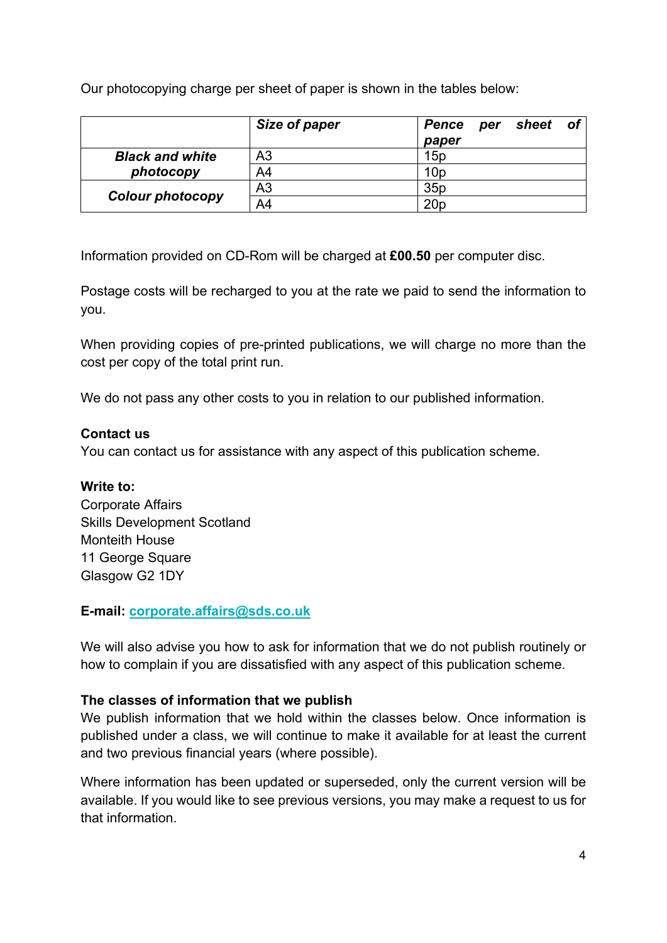Our photocopying charge per sheet of paper is shown in the tables below:

|                         | Size of paper  | sheet<br>- of<br>Pence<br>per<br>paper |
|-------------------------|----------------|----------------------------------------|
| <b>Black and white</b>  | A <sub>3</sub> | 15p                                    |
| photocopy               | A4             | 10 <sub>p</sub>                        |
|                         | A <sub>3</sub> | 35p                                    |
| <b>Colour photocopy</b> | A4             | 20 <sub>p</sub>                        |

Information provided on CD-Rom will be charged at **£00.50** per computer disc.

Postage costs will be recharged to you at the rate we paid to send the information to you.

When providing copies of pre-printed publications, we will charge no more than the cost per copy of the total print run.

We do not pass any other costs to you in relation to our published information.

#### **Contact us**

You can contact us for assistance with any aspect of this publication scheme.

#### **Write to:**

Corporate Affairs Skills Development Scotland Monteith House 11 George Square Glasgow G2 1DY

#### **E-mail: [corporate.affairs@sds.co.uk](mailto:corporate.affairs@sds.co.uk)**

We will also advise you how to ask for information that we do not publish routinely or how to complain if you are dissatisfied with any aspect of this publication scheme.

#### **The classes of information that we publish**

We publish information that we hold within the classes below. Once information is published under a class, we will continue to make it available for at least the current and two previous financial years (where possible).

Where information has been updated or superseded, only the current version will be available. If you would like to see previous versions, you may make a request to us for that information.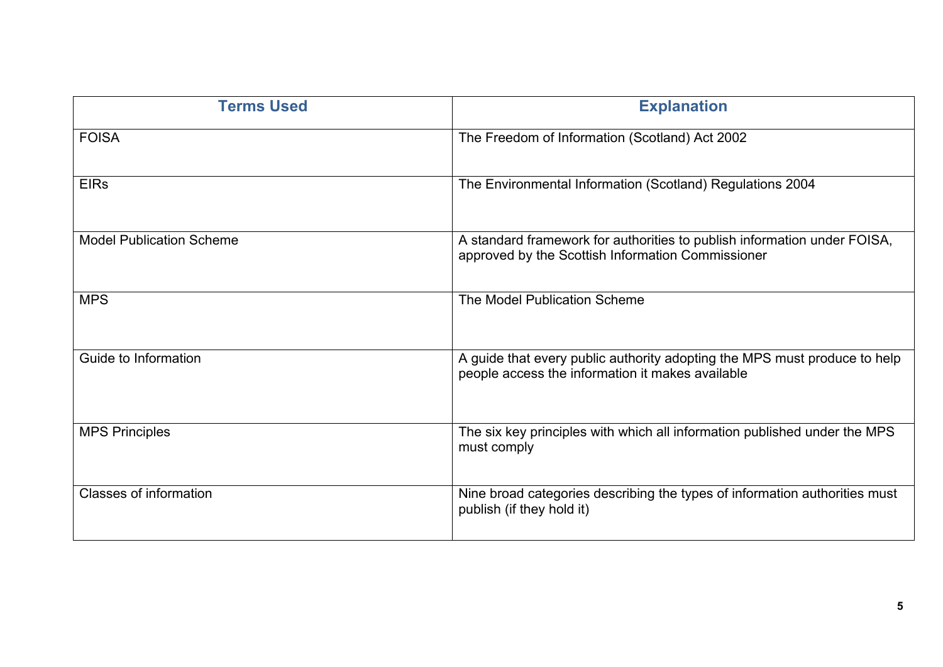| <b>Terms Used</b>               | <b>Explanation</b>                                                                                                            |
|---------------------------------|-------------------------------------------------------------------------------------------------------------------------------|
| <b>FOISA</b>                    | The Freedom of Information (Scotland) Act 2002                                                                                |
| <b>EIRs</b>                     | The Environmental Information (Scotland) Regulations 2004                                                                     |
| <b>Model Publication Scheme</b> | A standard framework for authorities to publish information under FOISA,<br>approved by the Scottish Information Commissioner |
| <b>MPS</b>                      | The Model Publication Scheme                                                                                                  |
| Guide to Information            | A guide that every public authority adopting the MPS must produce to help<br>people access the information it makes available |
| <b>MPS Principles</b>           | The six key principles with which all information published under the MPS<br>must comply                                      |
| <b>Classes of information</b>   | Nine broad categories describing the types of information authorities must<br>publish (if they hold it)                       |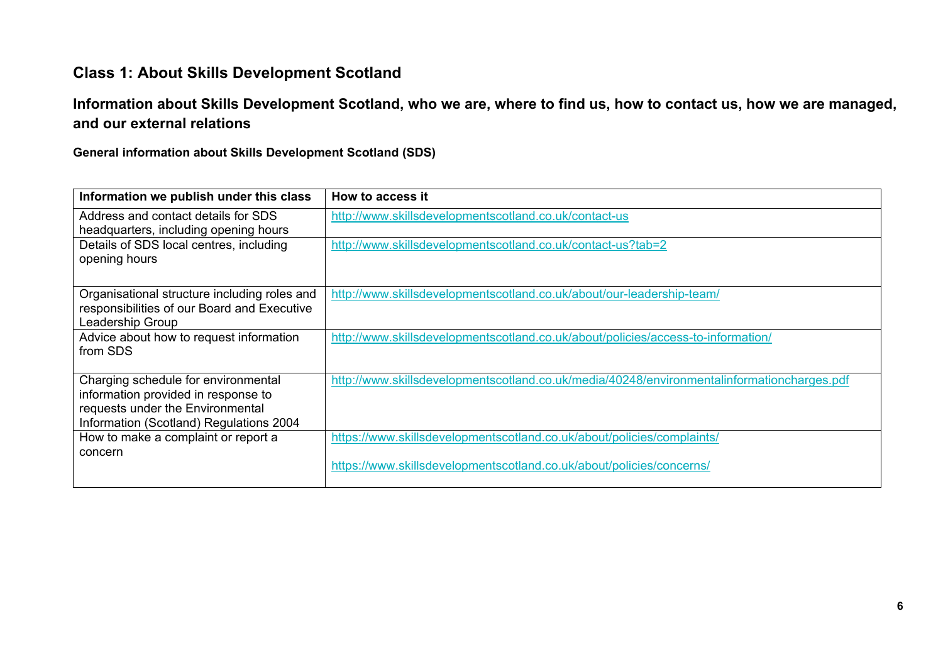# **Class 1: About Skills Development Scotland**

### **Information about Skills Development Scotland, who we are, where to find us, how to contact us, how we are managed, and our external relations**

#### **General information about Skills Development Scotland (SDS)**

<span id="page-5-0"></span>

| How to access it                                                                                                                               |
|------------------------------------------------------------------------------------------------------------------------------------------------|
| http://www.skillsdevelopmentscotland.co.uk/contact-us                                                                                          |
| http://www.skillsdevelopmentscotland.co.uk/contact-us?tab=2                                                                                    |
| Organisational structure including roles and<br>http://www.skillsdevelopmentscotland.co.uk/about/our-leadership-team/                          |
| http://www.skillsdevelopmentscotland.co.uk/about/policies/access-to-information/                                                               |
| http://www.skillsdevelopmentscotland.co.uk/media/40248/environmentalinformationcharges.pdf                                                     |
| https://www.skillsdevelopmentscotland.co.uk/about/policies/complaints/<br>https://www.skillsdevelopmentscotland.co.uk/about/policies/concerns/ |
|                                                                                                                                                |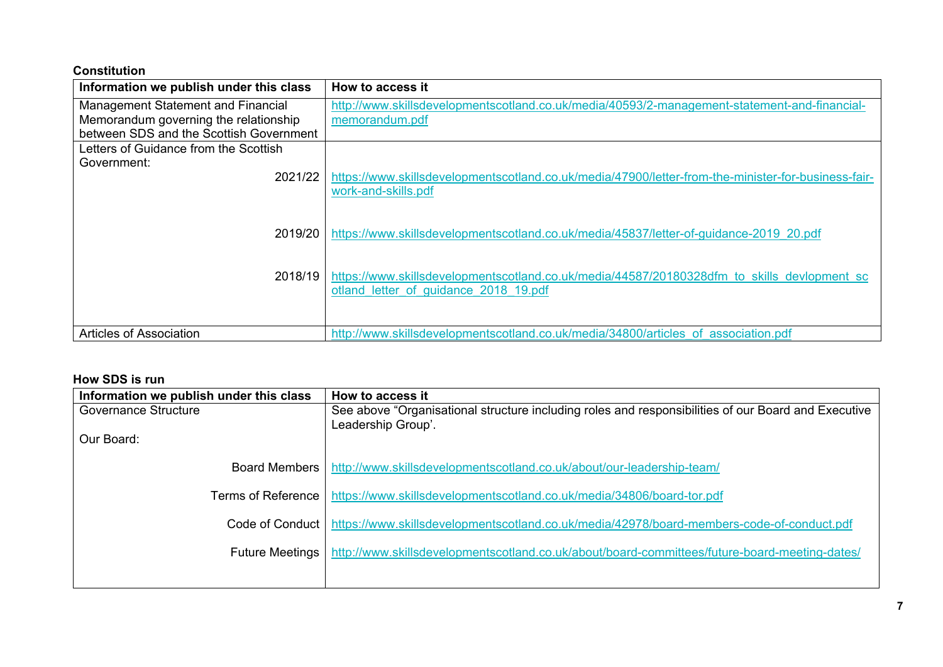#### **Constitution**

| Information we publish under this class   | How to access it                                                                                    |
|-------------------------------------------|-----------------------------------------------------------------------------------------------------|
| <b>Management Statement and Financial</b> | http://www.skillsdevelopmentscotland.co.uk/media/40593/2-management-statement-and-financial-        |
| Memorandum governing the relationship     | memorandum.pdf                                                                                      |
| between SDS and the Scottish Government   |                                                                                                     |
| Letters of Guidance from the Scottish     |                                                                                                     |
| Government:                               |                                                                                                     |
| 2021/22                                   | https://www.skillsdevelopmentscotland.co.uk/media/47900/letter-from-the-minister-for-business-fair- |
|                                           | work-and-skills.pdf                                                                                 |
|                                           |                                                                                                     |
| 2019/20                                   | https://www.skillsdevelopmentscotland.co.uk/media/45837/letter-of-quidance-2019 20.pdf              |
|                                           |                                                                                                     |
|                                           |                                                                                                     |
| 2018/19                                   | https://www.skillsdevelopmentscotland.co.uk/media/44587/20180328dfm to skills devlopment sc         |
|                                           | otland letter of guidance 2018 19.pdf                                                               |
|                                           |                                                                                                     |
|                                           |                                                                                                     |
| Articles of Association                   | http://www.skillsdevelopmentscotland.co.uk/media/34800/articles_of_association.pdf                  |

#### **How SDS is run**

| Information we publish under this class | How to access it                                                                                            |
|-----------------------------------------|-------------------------------------------------------------------------------------------------------------|
| Governance Structure                    | See above "Organisational structure including roles and responsibilities of our Board and Executive         |
|                                         | Leadership Group'.                                                                                          |
| Our Board:                              |                                                                                                             |
|                                         |                                                                                                             |
| <b>Board Members</b> I                  | http://www.skillsdevelopmentscotland.co.uk/about/our-leadership-team/                                       |
|                                         |                                                                                                             |
| Terms of Reference                      | https://www.skillsdevelopmentscotland.co.uk/media/34806/board-tor.pdf                                       |
|                                         | Code of Conduct   https://www.skillsdevelopmentscotland.co.uk/media/42978/board-members-code-of-conduct.pdf |
|                                         |                                                                                                             |
| <b>Future Meetings</b>                  | http://www.skillsdevelopmentscotland.co.uk/about/board-committees/future-board-meeting-dates/               |
|                                         |                                                                                                             |
|                                         |                                                                                                             |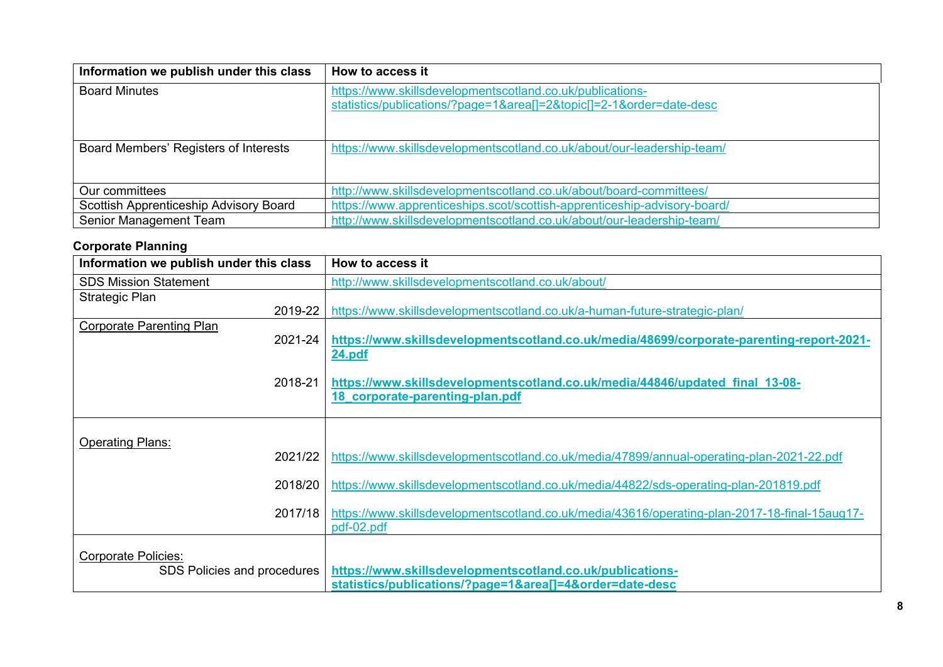| Information we publish under this class | How to access it                                                                                                             |
|-----------------------------------------|------------------------------------------------------------------------------------------------------------------------------|
| <b>Board Minutes</b>                    | https://www.skillsdevelopmentscotland.co.uk/publications-<br>statistics/publications/?page=1&area[]=2&topic[]=2-1ℴ=date-desc |
| Board Members' Registers of Interests   | https://www.skillsdevelopmentscotland.co.uk/about/our-leadership-team/                                                       |
| Our committees                          | http://www.skillsdevelopmentscotland.co.uk/about/board-committees/                                                           |
| Scottish Apprenticeship Advisory Board  | https://www.apprenticeships.scot/scottish-apprenticeship-advisory-board/                                                     |
| Senior Management Team                  | http://www.skillsdevelopmentscotland.co.uk/about/our-leadership-team/                                                        |

### **Corporate Planning**

| Information we publish under this class | How to access it                                                                              |
|-----------------------------------------|-----------------------------------------------------------------------------------------------|
| <b>SDS Mission Statement</b>            | http://www.skillsdevelopmentscotland.co.uk/about/                                             |
| Strategic Plan                          |                                                                                               |
| 2019-22                                 | https://www.skillsdevelopmentscotland.co.uk/a-human-future-strategic-plan/                    |
| <b>Corporate Parenting Plan</b>         |                                                                                               |
| 2021-24                                 | https://www.skillsdevelopmentscotland.co.uk/media/48699/corporate-parenting-report-2021-      |
|                                         | 24.pdf                                                                                        |
|                                         |                                                                                               |
| 2018-21                                 | https://www.skillsdevelopmentscotland.co.uk/media/44846/updated_final_13-08-                  |
|                                         | 18 corporate-parenting-plan.pdf                                                               |
|                                         |                                                                                               |
| <b>Operating Plans:</b>                 |                                                                                               |
| 2021/22                                 | https://www.skillsdevelopmentscotland.co.uk/media/47899/annual-operating-plan-2021-22.pdf     |
|                                         |                                                                                               |
| 2018/20                                 | https://www.skillsdevelopmentscotland.co.uk/media/44822/sds-operating-plan-201819.pdf         |
|                                         |                                                                                               |
| 2017/18                                 | https://www.skillsdevelopmentscotland.co.uk/media/43616/operating-plan-2017-18-final-15aug17- |
|                                         | pdf-02.pdf                                                                                    |
|                                         |                                                                                               |
| <b>Corporate Policies:</b>              |                                                                                               |
| SDS Policies and procedures             | https://www.skillsdevelopmentscotland.co.uk/publications-                                     |
|                                         | statistics/publications/?page=1&area[]=4ℴ=date-desc                                           |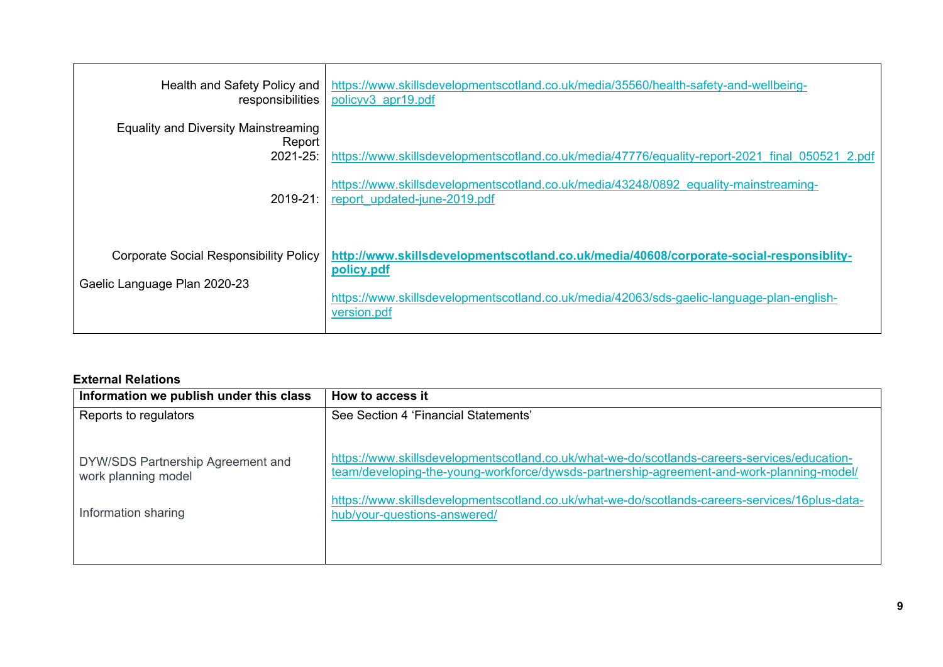| Health and Safety Policy and<br>responsibilities                              | https://www.skillsdevelopmentscotland.co.uk/media/35560/health-safety-and-wellbeing-<br>policyv3 apr19.pdf                                                                                                       |
|-------------------------------------------------------------------------------|------------------------------------------------------------------------------------------------------------------------------------------------------------------------------------------------------------------|
| <b>Equality and Diversity Mainstreaming</b><br>Report<br>$2021 - 25$ :        | https://www.skillsdevelopmentscotland.co.uk/media/47776/equality-report-2021 final 050521 2.pdf                                                                                                                  |
| $2019 - 21$ :                                                                 | https://www.skillsdevelopmentscotland.co.uk/media/43248/0892_equality-mainstreaming-<br>report updated-june-2019.pdf                                                                                             |
| <b>Corporate Social Responsibility Policy</b><br>Gaelic Language Plan 2020-23 | http://www.skillsdevelopmentscotland.co.uk/media/40608/corporate-social-responsiblity-<br>policy.pdf<br>https://www.skillsdevelopmentscotland.co.uk/media/42063/sds-gaelic-language-plan-english-<br>version.pdf |

#### **External Relations**

| Information we publish under this class                  | How to access it                                                                                                                                                                          |
|----------------------------------------------------------|-------------------------------------------------------------------------------------------------------------------------------------------------------------------------------------------|
| Reports to regulators                                    | See Section 4 'Financial Statements'                                                                                                                                                      |
|                                                          |                                                                                                                                                                                           |
| DYW/SDS Partnership Agreement and<br>work planning model | https://www.skillsdevelopmentscotland.co.uk/what-we-do/scotlands-careers-services/education-<br>team/developing-the-young-workforce/dywsds-partnership-agreement-and-work-planning-model/ |
| Information sharing                                      | https://www.skillsdevelopmentscotland.co.uk/what-we-do/scotlands-careers-services/16plus-data-<br>hub/your-questions-answered/                                                            |
|                                                          |                                                                                                                                                                                           |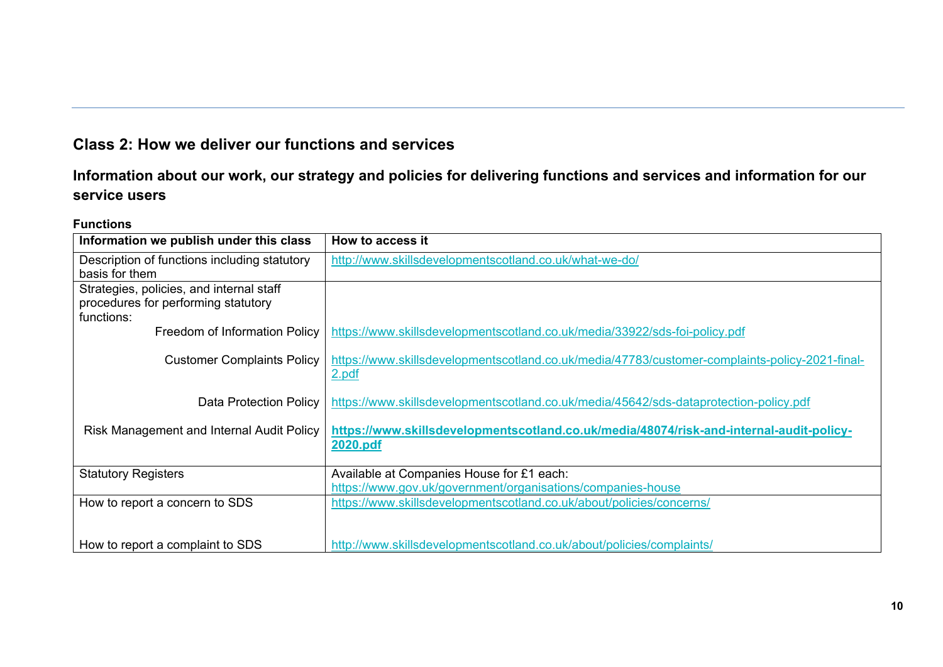# **Class 2: How we deliver our functions and services**

### **Information about our work, our strategy and policies for delivering functions and services and information for our service users**

#### **Functions**

<span id="page-9-0"></span>

| Information we publish under this class      | How to access it                                                                               |
|----------------------------------------------|------------------------------------------------------------------------------------------------|
| Description of functions including statutory | http://www.skillsdevelopmentscotland.co.uk/what-we-do/                                         |
| basis for them                               |                                                                                                |
| Strategies, policies, and internal staff     |                                                                                                |
| procedures for performing statutory          |                                                                                                |
| functions:                                   |                                                                                                |
| Freedom of Information Policy                | https://www.skillsdevelopmentscotland.co.uk/media/33922/sds-foi-policy.pdf                     |
|                                              |                                                                                                |
| <b>Customer Complaints Policy</b>            | https://www.skillsdevelopmentscotland.co.uk/media/47783/customer-complaints-policy-2021-final- |
|                                              | 2.pdf                                                                                          |
|                                              |                                                                                                |
| Data Protection Policy                       | https://www.skillsdevelopmentscotland.co.uk/media/45642/sds-dataprotection-policy.pdf          |
|                                              |                                                                                                |
| Risk Management and Internal Audit Policy    | https://www.skillsdevelopmentscotland.co.uk/media/48074/risk-and-internal-audit-policy-        |
|                                              | 2020.pdf                                                                                       |
|                                              |                                                                                                |
| <b>Statutory Registers</b>                   | Available at Companies House for £1 each:                                                      |
|                                              | https://www.gov.uk/government/organisations/companies-house                                    |
| How to report a concern to SDS               | https://www.skillsdevelopmentscotland.co.uk/about/policies/concerns/                           |
|                                              |                                                                                                |
|                                              |                                                                                                |
| How to report a complaint to SDS             | http://www.skillsdevelopmentscotland.co.uk/about/policies/complaints/                          |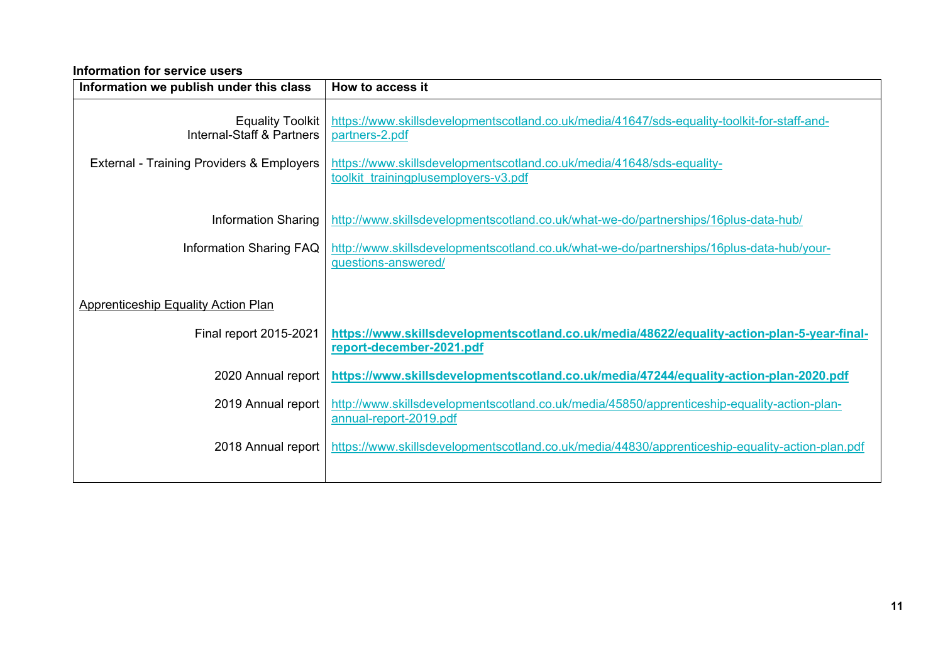#### **Information for service users**

| Information we publish under this class                         | How to access it                                                                                                       |
|-----------------------------------------------------------------|------------------------------------------------------------------------------------------------------------------------|
| <b>Equality Toolkit</b><br><b>Internal-Staff &amp; Partners</b> | https://www.skillsdevelopmentscotland.co.uk/media/41647/sds-equality-toolkit-for-staff-and-<br>partners-2.pdf          |
| External - Training Providers & Employers                       | https://www.skillsdevelopmentscotland.co.uk/media/41648/sds-equality-<br>toolkit trainingplusemployers-v3.pdf          |
| <b>Information Sharing</b>                                      | http://www.skillsdevelopmentscotland.co.uk/what-we-do/partnerships/16plus-data-hub/                                    |
| <b>Information Sharing FAQ</b>                                  | http://www.skillsdevelopmentscotland.co.uk/what-we-do/partnerships/16plus-data-hub/your-<br>questions-answered/        |
| <b>Apprenticeship Equality Action Plan</b>                      |                                                                                                                        |
| Final report 2015-2021                                          | https://www.skillsdevelopmentscotland.co.uk/media/48622/equality-action-plan-5-year-final-<br>report-december-2021.pdf |
| 2020 Annual report                                              | https://www.skillsdevelopmentscotland.co.uk/media/47244/equality-action-plan-2020.pdf                                  |
| 2019 Annual report                                              | http://www.skillsdevelopmentscotland.co.uk/media/45850/apprenticeship-equality-action-plan-<br>annual-report-2019.pdf  |
| 2018 Annual report                                              | https://www.skillsdevelopmentscotland.co.uk/media/44830/apprenticeship-equality-action-plan.pdf                        |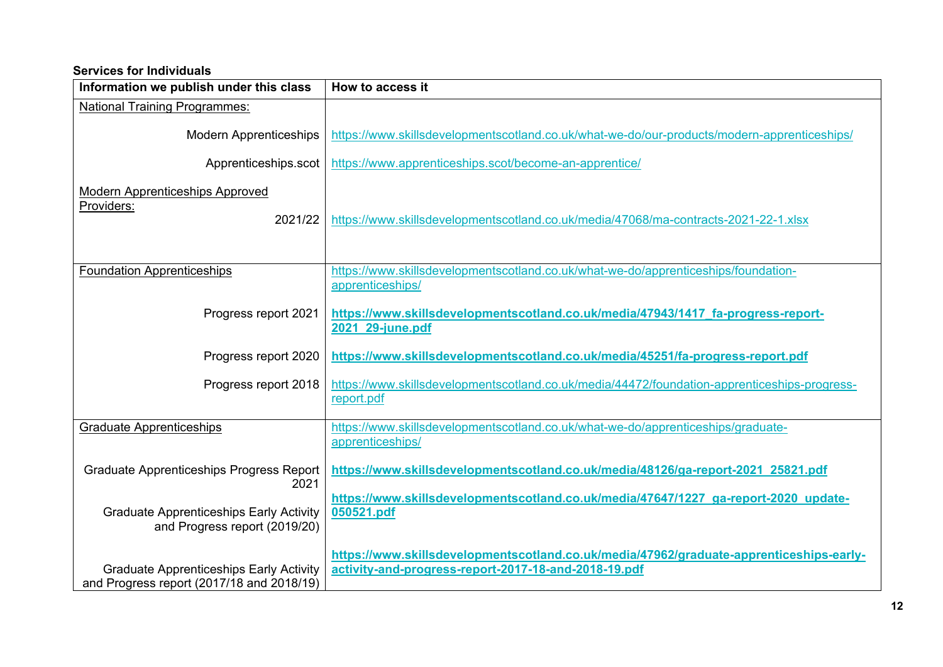#### **Services for Individuals**

| Information we publish under this class                                                     | How to access it                                                                                                                                |
|---------------------------------------------------------------------------------------------|-------------------------------------------------------------------------------------------------------------------------------------------------|
| <b>National Training Programmes:</b>                                                        |                                                                                                                                                 |
| <b>Modern Apprenticeships</b>                                                               | https://www.skillsdevelopmentscotland.co.uk/what-we-do/our-products/modern-apprenticeships/                                                     |
| Apprenticeships.scot                                                                        | https://www.apprenticeships.scot/become-an-apprentice/                                                                                          |
| <b>Modern Apprenticeships Approved</b><br>Providers:<br>2021/22                             | https://www.skillsdevelopmentscotland.co.uk/media/47068/ma-contracts-2021-22-1.xlsx                                                             |
| <b>Foundation Apprenticeships</b>                                                           | https://www.skillsdevelopmentscotland.co.uk/what-we-do/apprenticeships/foundation-<br>apprenticeships/                                          |
| Progress report 2021                                                                        | https://www.skillsdevelopmentscotland.co.uk/media/47943/1417 fa-progress-report-<br>2021 29-june.pdf                                            |
| Progress report 2020                                                                        | https://www.skillsdevelopmentscotland.co.uk/media/45251/fa-progress-report.pdf                                                                  |
| Progress report 2018                                                                        | https://www.skillsdevelopmentscotland.co.uk/media/44472/foundation-apprenticeships-progress-<br>report.pdf                                      |
| <b>Graduate Apprenticeships</b>                                                             | https://www.skillsdevelopmentscotland.co.uk/what-we-do/apprenticeships/graduate-<br>apprenticeships/                                            |
| <b>Graduate Apprenticeships Progress Report</b><br>2021                                     | https://www.skillsdevelopmentscotland.co.uk/media/48126/ga-report-2021_25821.pdf                                                                |
| <b>Graduate Apprenticeships Early Activity</b><br>and Progress report (2019/20)             | https://www.skillsdevelopmentscotland.co.uk/media/47647/1227 ga-report-2020 update-<br>050521.pdf                                               |
| <b>Graduate Apprenticeships Early Activity</b><br>and Progress report (2017/18 and 2018/19) | https://www.skillsdevelopmentscotland.co.uk/media/47962/graduate-apprenticeships-early-<br>activity-and-progress-report-2017-18-and-2018-19.pdf |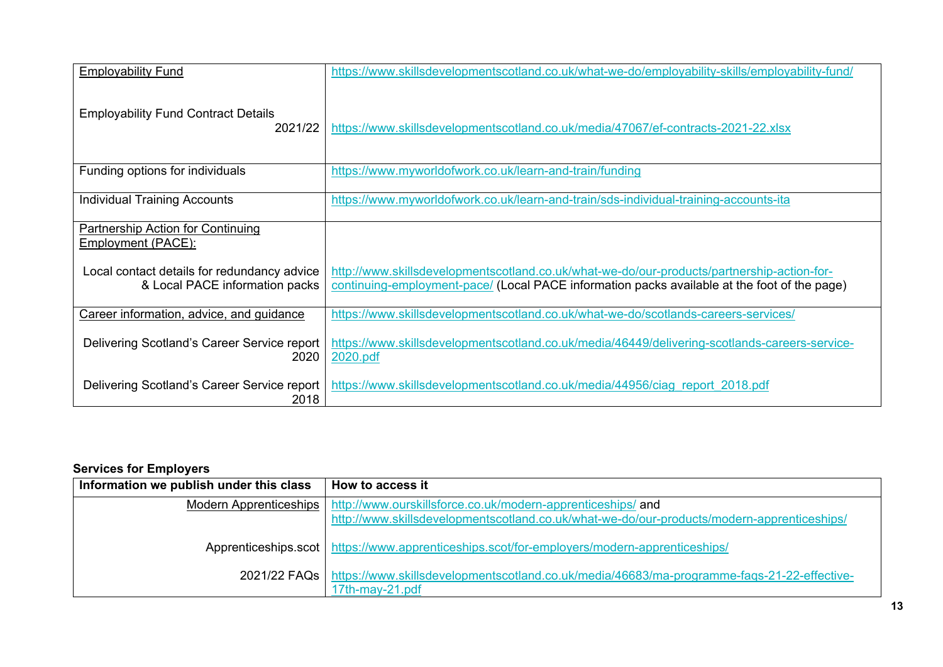| <b>Employability Fund</b>                                                     | https://www.skillsdevelopmentscotland.co.uk/what-we-do/employability-skills/employability-fund/                                                                                            |
|-------------------------------------------------------------------------------|--------------------------------------------------------------------------------------------------------------------------------------------------------------------------------------------|
| <b>Employability Fund Contract Details</b><br>2021/22                         | https://www.skillsdevelopmentscotland.co.uk/media/47067/ef-contracts-2021-22.xlsx                                                                                                          |
| Funding options for individuals                                               | https://www.myworldofwork.co.uk/learn-and-train/funding                                                                                                                                    |
| <b>Individual Training Accounts</b>                                           | https://www.myworldofwork.co.uk/learn-and-train/sds-individual-training-accounts-ita                                                                                                       |
| <b>Partnership Action for Continuing</b><br>Employment (PACE):                |                                                                                                                                                                                            |
| Local contact details for redundancy advice<br>& Local PACE information packs | http://www.skillsdevelopmentscotland.co.uk/what-we-do/our-products/partnership-action-for-<br>continuing-employment-pace/ (Local PACE information packs available at the foot of the page) |
| Career information, advice, and guidance                                      | https://www.skillsdevelopmentscotland.co.uk/what-we-do/scotlands-careers-services/                                                                                                         |
| Delivering Scotland's Career Service report<br>2020                           | https://www.skillsdevelopmentscotland.co.uk/media/46449/delivering-scotlands-careers-service-<br>2020.pdf                                                                                  |
| Delivering Scotland's Career Service report<br>2018                           | https://www.skillsdevelopmentscotland.co.uk/media/44956/ciag_report_2018.pdf                                                                                                               |

#### **Services for Employers**

| Information we publish under this class | How to access it                                                                                                                                                                   |
|-----------------------------------------|------------------------------------------------------------------------------------------------------------------------------------------------------------------------------------|
|                                         | Modern Apprenticeships   http://www.ourskillsforce.co.uk/modern-apprenticeships/ and<br>http://www.skillsdevelopmentscotland.co.uk/what-we-do/our-products/modern-apprenticeships/ |
|                                         | Apprenticeships.scot   https://www.apprenticeships.scot/for-employers/modern-apprenticeships/                                                                                      |
|                                         | 2021/22 FAQs   https://www.skillsdevelopmentscotland.co.uk/media/46683/ma-programme-fags-21-22-effective-<br>17th-may-21.pdf                                                       |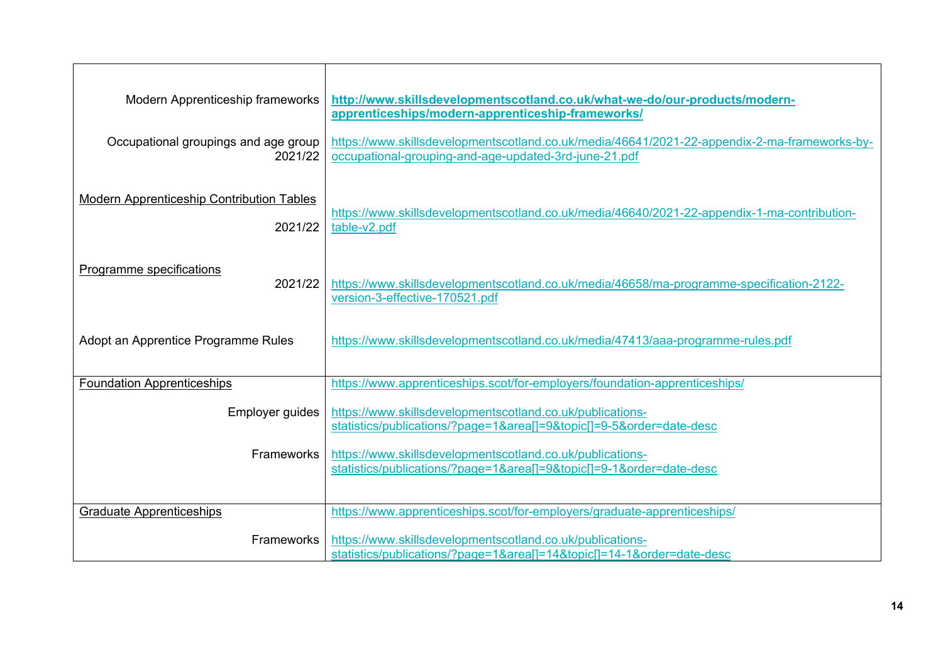| Modern Apprenticeship frameworks                            | http://www.skillsdevelopmentscotland.co.uk/what-we-do/our-products/modern-<br>apprenticeships/modern-apprenticeship-frameworks/                       |
|-------------------------------------------------------------|-------------------------------------------------------------------------------------------------------------------------------------------------------|
| Occupational groupings and age group<br>2021/22             | https://www.skillsdevelopmentscotland.co.uk/media/46641/2021-22-appendix-2-ma-frameworks-by-<br>occupational-grouping-and-age-updated-3rd-june-21.pdf |
| <b>Modern Apprenticeship Contribution Tables</b><br>2021/22 | https://www.skillsdevelopmentscotland.co.uk/media/46640/2021-22-appendix-1-ma-contribution-<br>table-v2.pdf                                           |
| <b>Programme specifications</b><br>2021/22                  | https://www.skillsdevelopmentscotland.co.uk/media/46658/ma-programme-specification-2122-<br>version-3-effective-170521.pdf                            |
| Adopt an Apprentice Programme Rules                         | https://www.skillsdevelopmentscotland.co.uk/media/47413/aaa-programme-rules.pdf                                                                       |
| <b>Foundation Apprenticeships</b>                           | https://www.apprenticeships.scot/for-employers/foundation-apprenticeships/                                                                            |
| Employer guides                                             | https://www.skillsdevelopmentscotland.co.uk/publications-<br>statistics/publications/?page=1&area[]=9&topic[]=9-5ℴ=date-desc                          |
| <b>Frameworks</b>                                           | https://www.skillsdevelopmentscotland.co.uk/publications-<br>statistics/publications/?page=1&area[]=9&topic[]=9-1ℴ=date-desc                          |
| <b>Graduate Apprenticeships</b>                             | https://www.apprenticeships.scot/for-employers/graduate-apprenticeships/                                                                              |
| <b>Frameworks</b>                                           | https://www.skillsdevelopmentscotland.co.uk/publications-<br>statistics/publications/?page=1&area[]=14&topic[]=14-1ℴ=date-desc                        |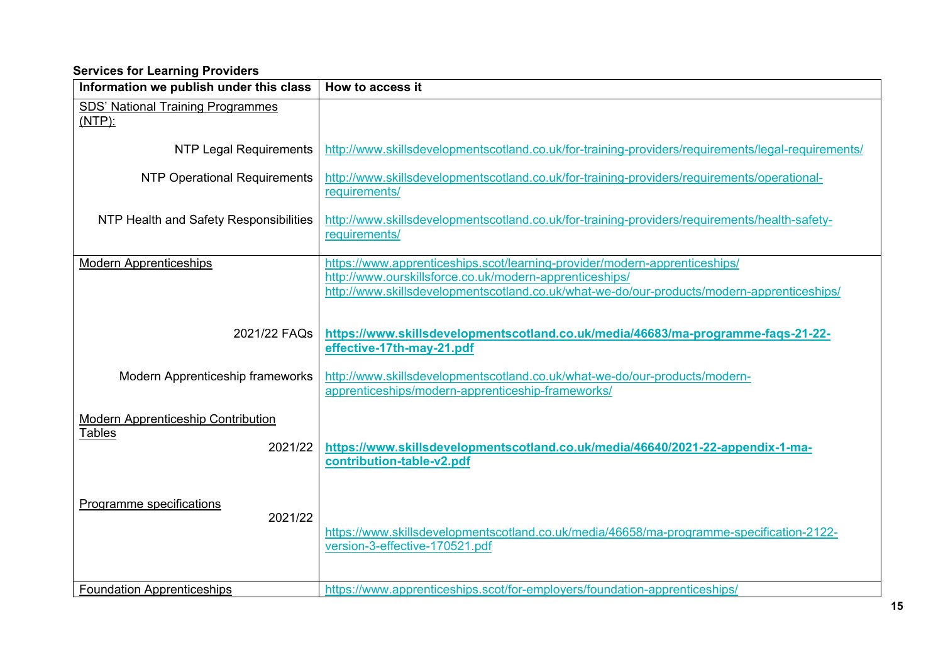#### **Services for Learning Providers**

| Information we publish under this class                        | How to access it                                                                                                                                                                                                                    |
|----------------------------------------------------------------|-------------------------------------------------------------------------------------------------------------------------------------------------------------------------------------------------------------------------------------|
| <b>SDS' National Training Programmes</b><br>$(NTP)$ :          |                                                                                                                                                                                                                                     |
| <b>NTP Legal Requirements</b>                                  | http://www.skillsdevelopmentscotland.co.uk/for-training-providers/requirements/legal-requirements/                                                                                                                                  |
| <b>NTP Operational Requirements</b>                            | http://www.skillsdevelopmentscotland.co.uk/for-training-providers/requirements/operational-<br>requirements/                                                                                                                        |
| NTP Health and Safety Responsibilities                         | http://www.skillsdevelopmentscotland.co.uk/for-training-providers/requirements/health-safety-<br>requirements/                                                                                                                      |
| <b>Modern Apprenticeships</b>                                  | https://www.apprenticeships.scot/learning-provider/modern-apprenticeships/<br>http://www.ourskillsforce.co.uk/modern-apprenticeships/<br>http://www.skillsdevelopmentscotland.co.uk/what-we-do/our-products/modern-apprenticeships/ |
| 2021/22 FAQs                                                   | https://www.skillsdevelopmentscotland.co.uk/media/46683/ma-programme-faqs-21-22-<br>effective-17th-may-21.pdf                                                                                                                       |
| Modern Apprenticeship frameworks                               | http://www.skillsdevelopmentscotland.co.uk/what-we-do/our-products/modern-<br>apprenticeships/modern-apprenticeship-frameworks/                                                                                                     |
| <b>Modern Apprenticeship Contribution</b><br>Tables<br>2021/22 | https://www.skillsdevelopmentscotland.co.uk/media/46640/2021-22-appendix-1-ma-<br>contribution-table-v2.pdf                                                                                                                         |
| Programme specifications<br>2021/22                            | https://www.skillsdevelopmentscotland.co.uk/media/46658/ma-programme-specification-2122-<br>version-3-effective-170521.pdf                                                                                                          |
| <b>Foundation Apprenticeships</b>                              | https://www.apprenticeships.scot/for-employers/foundation-apprenticeships/                                                                                                                                                          |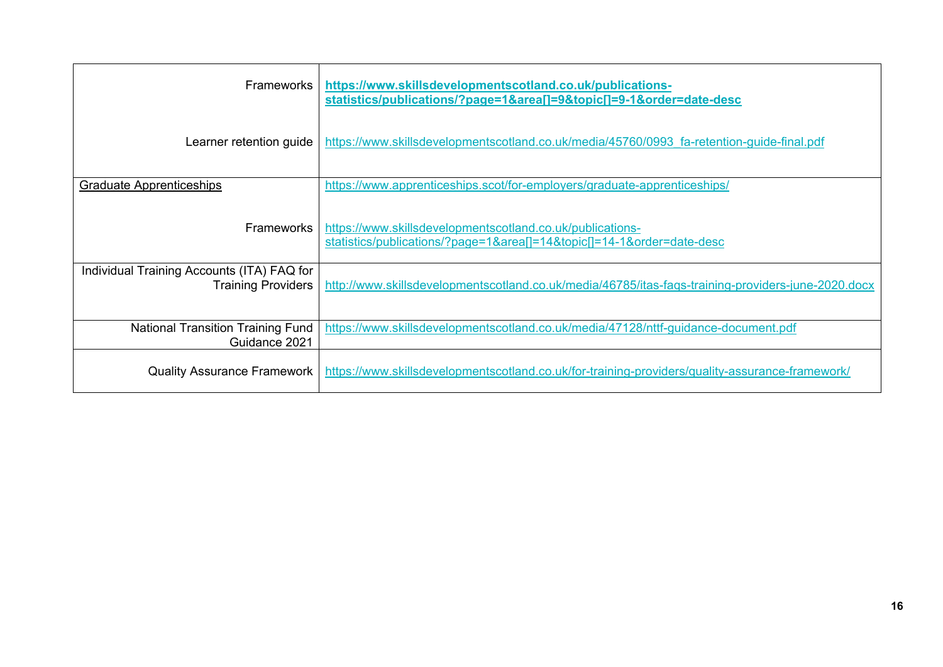<span id="page-15-0"></span>

| <b>Frameworks</b>                                         | https://www.skillsdevelopmentscotland.co.uk/publications-<br>statistics/publications/?page=1&area[]=9&topic[]=9-1ℴ=date-desc   |
|-----------------------------------------------------------|--------------------------------------------------------------------------------------------------------------------------------|
| Learner retention guide                                   | https://www.skillsdevelopmentscotland.co.uk/media/45760/0993 fa-retention-guide-final.pdf                                      |
| <b>Graduate Apprenticeships</b>                           | https://www.apprenticeships.scot/for-employers/graduate-apprenticeships/                                                       |
| <b>Frameworks</b>                                         | https://www.skillsdevelopmentscotland.co.uk/publications-<br>statistics/publications/?page=1&area[]=14&topic[]=14-1ℴ=date-desc |
| Individual Training Accounts (ITA) FAQ for                |                                                                                                                                |
| <b>Training Providers</b>                                 | http://www.skillsdevelopmentscotland.co.uk/media/46785/itas-fags-training-providers-june-2020.docx                             |
| <b>National Transition Training Fund</b><br>Guidance 2021 | https://www.skillsdevelopmentscotland.co.uk/media/47128/nttf-guidance-document.pdf                                             |
| <b>Quality Assurance Framework</b>                        | https://www.skillsdevelopmentscotland.co.uk/for-training-providers/quality-assurance-framework/                                |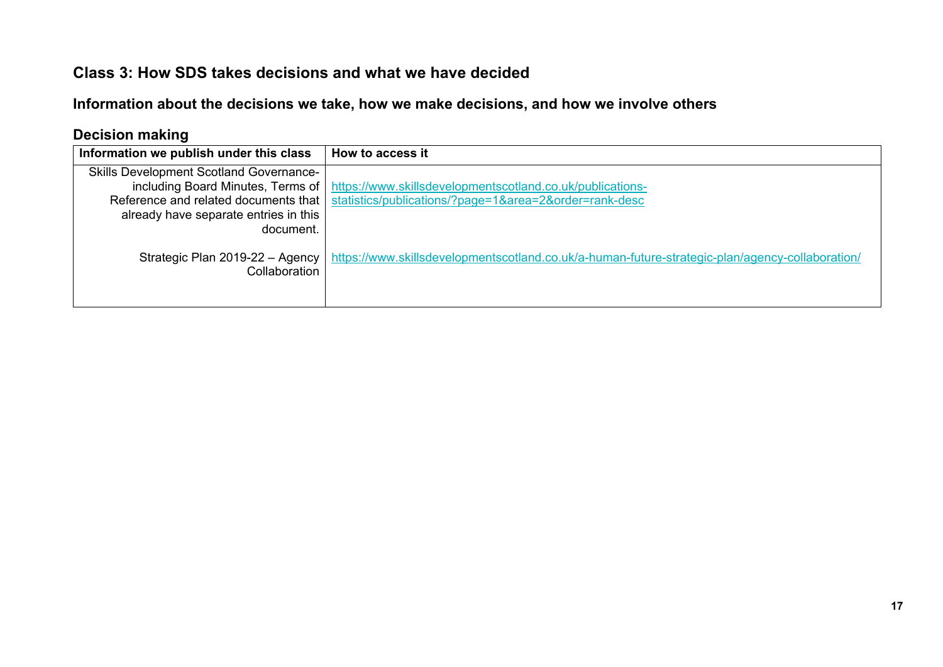### **Class 3: How SDS takes decisions and what we have decided**

**Information about the decisions we take, how we make decisions, and how we involve others**

### **Decision making**

| Information we publish under this class                                                                                                      | How to access it                                                                                                                                   |
|----------------------------------------------------------------------------------------------------------------------------------------------|----------------------------------------------------------------------------------------------------------------------------------------------------|
| <b>Skills Development Scotland Governance-</b><br>Reference and related documents that<br>already have separate entries in this<br>document. | including Board Minutes, Terms of   https://www.skillsdevelopmentscotland.co.uk/publications-<br>statistics/publications/?page=1&area=2ℴ=rank-desc |
| Strategic Plan 2019-22 - Agency<br>Collaboration                                                                                             | https://www.skillsdevelopmentscotland.co.uk/a-human-future-strategic-plan/agency-collaboration/                                                    |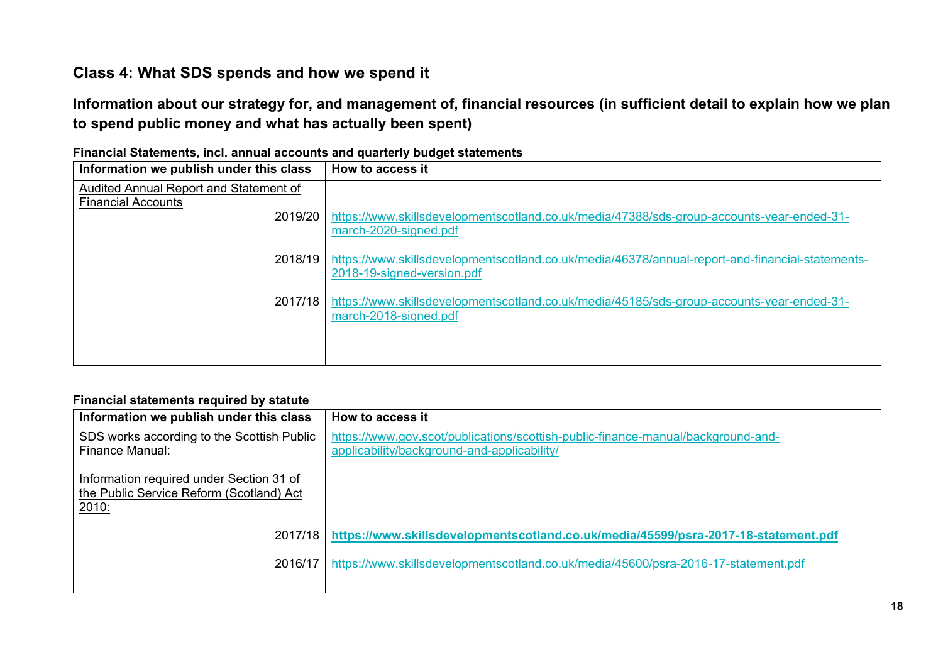# **Class 4: What SDS spends and how we spend it**

**Information about our strategy for, and management of, financial resources (in sufficient detail to explain how we plan to spend public money and what has actually been spent)** 

| Information we publish under this class | How to access it                                                                                |
|-----------------------------------------|-------------------------------------------------------------------------------------------------|
| Audited Annual Report and Statement of  |                                                                                                 |
| <b>Financial Accounts</b><br>2019/20    | https://www.skillsdevelopmentscotland.co.uk/media/47388/sds-group-accounts-year-ended-31-       |
|                                         | march-2020-signed.pdf                                                                           |
| 2018/19                                 | https://www.skillsdevelopmentscotland.co.uk/media/46378/annual-report-and-financial-statements- |
|                                         | 2018-19-signed-version.pdf                                                                      |
| 2017/18                                 | https://www.skillsdevelopmentscotland.co.uk/media/45185/sds-group-accounts-year-ended-31-       |
|                                         | march-2018-signed.pdf                                                                           |
|                                         |                                                                                                 |
|                                         |                                                                                                 |

**Financial Statements, incl. annual accounts and quarterly budget statements**

#### <span id="page-17-0"></span>**Financial statements required by statute**

| Information we publish under this class                                                       | How to access it                                                                                                                |
|-----------------------------------------------------------------------------------------------|---------------------------------------------------------------------------------------------------------------------------------|
| SDS works according to the Scottish Public<br>Finance Manual:                                 | https://www.gov.scot/publications/scottish-public-finance-manual/background-and-<br>applicability/background-and-applicability/ |
| Information required under Section 31 of<br>the Public Service Reform (Scotland) Act<br>2010: |                                                                                                                                 |
| 2017/18                                                                                       | https://www.skillsdevelopmentscotland.co.uk/media/45599/psra-2017-18-statement.pdf                                              |
| 2016/17                                                                                       | https://www.skillsdevelopmentscotland.co.uk/media/45600/psra-2016-17-statement.pdf                                              |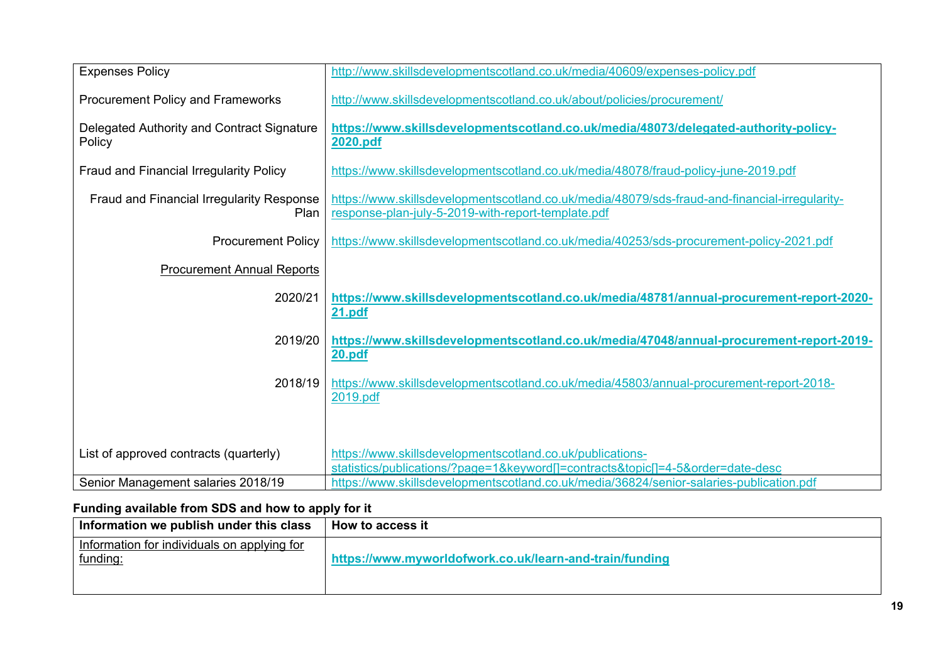| <b>Expenses Policy</b>                               | http://www.skillsdevelopmentscotland.co.uk/media/40609/expenses-policy.pdf                                                                          |
|------------------------------------------------------|-----------------------------------------------------------------------------------------------------------------------------------------------------|
| <b>Procurement Policy and Frameworks</b>             | http://www.skillsdevelopmentscotland.co.uk/about/policies/procurement/                                                                              |
| Delegated Authority and Contract Signature<br>Policy | https://www.skillsdevelopmentscotland.co.uk/media/48073/delegated-authority-policy-<br>2020.pdf                                                     |
| Fraud and Financial Irregularity Policy              | https://www.skillsdevelopmentscotland.co.uk/media/48078/fraud-policy-june-2019.pdf                                                                  |
| Fraud and Financial Irregularity Response<br>Plan    | https://www.skillsdevelopmentscotland.co.uk/media/48079/sds-fraud-and-financial-irregularity-<br>response-plan-july-5-2019-with-report-template.pdf |
| <b>Procurement Policy</b>                            | https://www.skillsdevelopmentscotland.co.uk/media/40253/sds-procurement-policy-2021.pdf                                                             |
| <b>Procurement Annual Reports</b>                    |                                                                                                                                                     |
| 2020/21                                              | https://www.skillsdevelopmentscotland.co.uk/media/48781/annual-procurement-report-2020-<br><b>21.pdf</b>                                            |
| 2019/20                                              | https://www.skillsdevelopmentscotland.co.uk/media/47048/annual-procurement-report-2019-<br>20.pdf                                                   |
| 2018/19                                              | https://www.skillsdevelopmentscotland.co.uk/media/45803/annual-procurement-report-2018-<br>2019.pdf                                                 |
|                                                      |                                                                                                                                                     |
| List of approved contracts (quarterly)               | https://www.skillsdevelopmentscotland.co.uk/publications-<br>statistics/publications/?page=1&keyword[]=contracts&topic[]=4-5ℴ=date-desc             |
| Senior Management salaries 2018/19                   | https://www.skillsdevelopmentscotland.co.uk/media/36824/senior-salaries-publication.pdf                                                             |

# **Funding available from SDS and how to apply for it**

| Information we publish under this class                 | How to access it                                        |
|---------------------------------------------------------|---------------------------------------------------------|
| Information for individuals on applying for<br>funding: | https://www.myworldofwork.co.uk/learn-and-train/funding |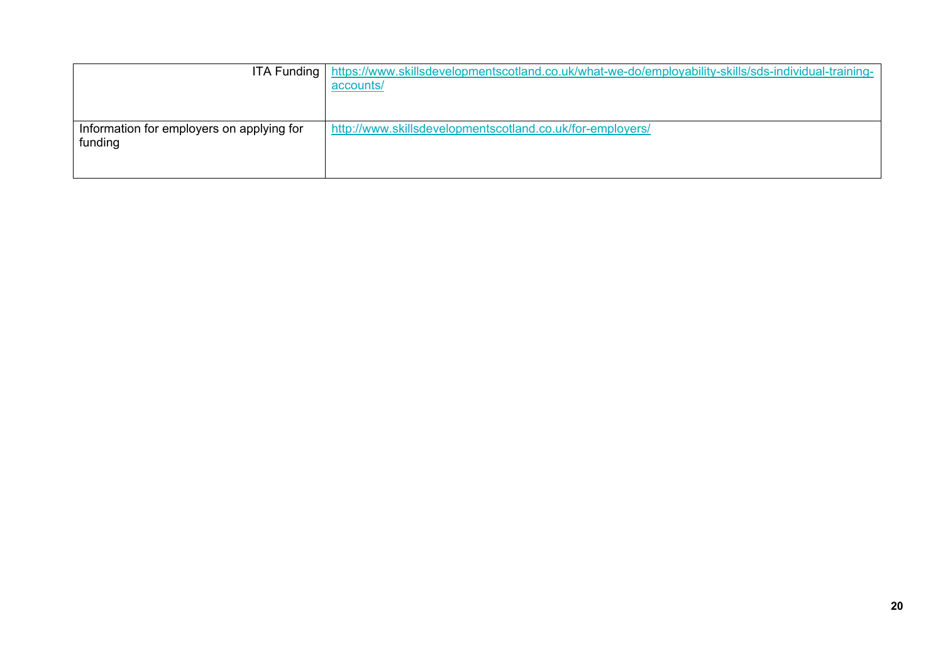<span id="page-19-0"></span>

|                                           | ITA Funding   https://www.skillsdevelopmentscotland.co.uk/what-we-do/employability-skills/sds-individual-training- |
|-------------------------------------------|--------------------------------------------------------------------------------------------------------------------|
|                                           | accounts/                                                                                                          |
|                                           |                                                                                                                    |
| Information for employers on applying for | http://www.skillsdevelopmentscotland.co.uk/for-employers/                                                          |
| funding                                   |                                                                                                                    |
|                                           |                                                                                                                    |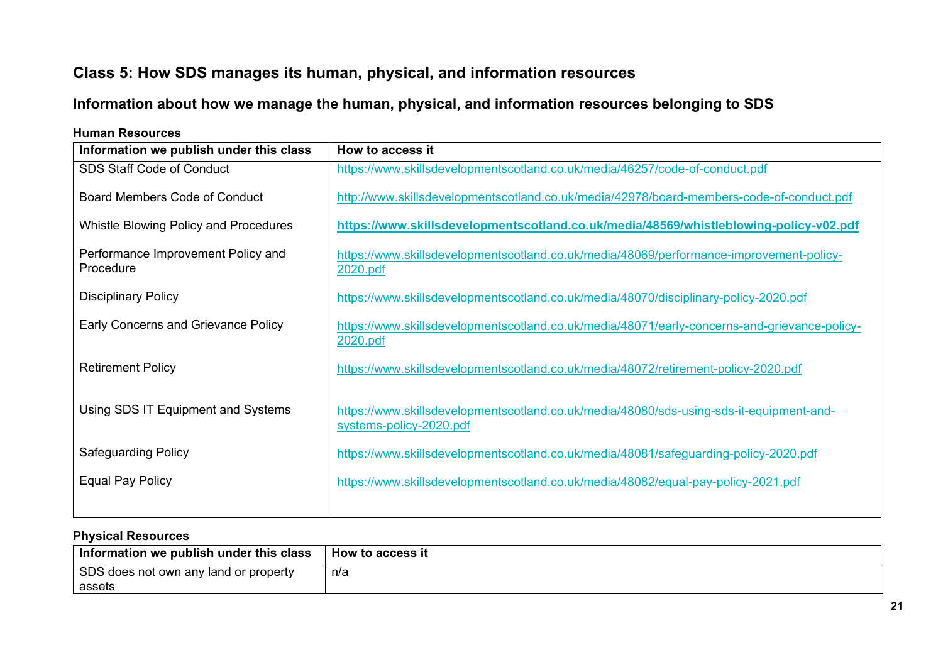# **Class 5: How SDS manages its human, physical, and information resources**

# **Information about how we manage the human, physical, and information resources belonging to SDS**

| Information we publish under this class         | How to access it                                                                                                   |
|-------------------------------------------------|--------------------------------------------------------------------------------------------------------------------|
| <b>SDS Staff Code of Conduct</b>                | https://www.skillsdevelopmentscotland.co.uk/media/46257/code-of-conduct.pdf                                        |
| <b>Board Members Code of Conduct</b>            | http://www.skillsdevelopmentscotland.co.uk/media/42978/board-members-code-of-conduct.pdf                           |
| Whistle Blowing Policy and Procedures           | https://www.skillsdevelopmentscotland.co.uk/media/48569/whistleblowing-policy-v02.pdf                              |
| Performance Improvement Policy and<br>Procedure | https://www.skillsdevelopmentscotland.co.uk/media/48069/performance-improvement-policy-<br>2020.pdf                |
| <b>Disciplinary Policy</b>                      | https://www.skillsdevelopmentscotland.co.uk/media/48070/disciplinary-policy-2020.pdf                               |
| Early Concerns and Grievance Policy             | https://www.skillsdevelopmentscotland.co.uk/media/48071/early-concerns-and-grievance-policy-<br>2020.pdf           |
| <b>Retirement Policy</b>                        | https://www.skillsdevelopmentscotland.co.uk/media/48072/retirement-policy-2020.pdf                                 |
| Using SDS IT Equipment and Systems              | https://www.skillsdevelopmentscotland.co.uk/media/48080/sds-using-sds-it-equipment-and-<br>systems-policy-2020.pdf |
| <b>Safeguarding Policy</b>                      | https://www.skillsdevelopmentscotland.co.uk/media/48081/safeguarding-policy-2020.pdf                               |
| <b>Equal Pay Policy</b>                         | https://www.skillsdevelopmentscotland.co.uk/media/48082/equal-pay-policy-2021.pdf                                  |
|                                                 |                                                                                                                    |

#### **Human Resources**

#### **Physical Resources**

| Information we publish under this class | How to access it |
|-----------------------------------------|------------------|
| SDS does not own any land or property   | n/a              |
| assets                                  |                  |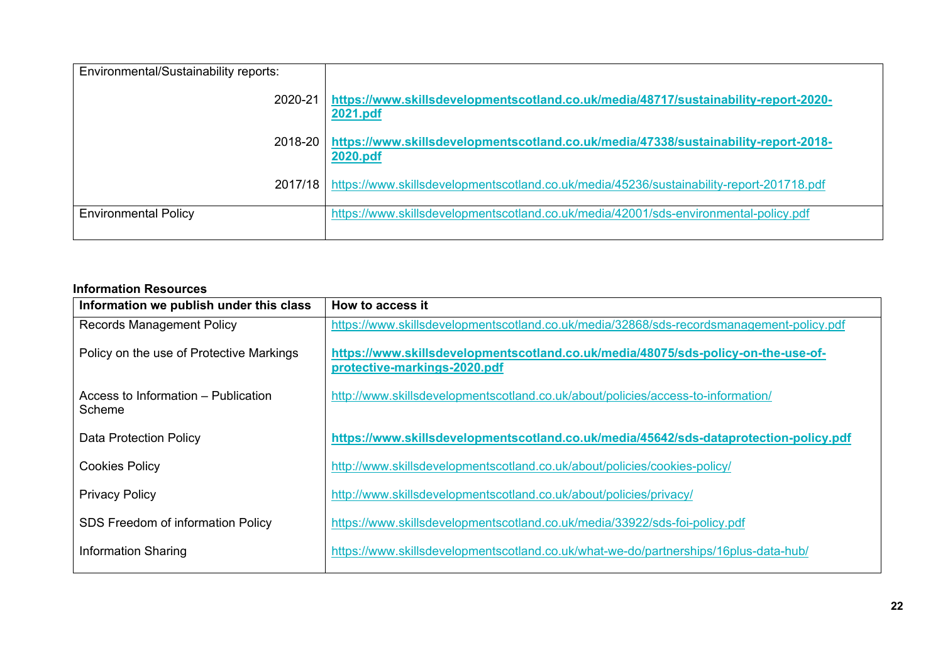| Environmental/Sustainability reports: |                                                                                                 |
|---------------------------------------|-------------------------------------------------------------------------------------------------|
| 2020-21                               | https://www.skillsdevelopmentscotland.co.uk/media/48717/sustainability-report-2020-<br>2021.pdf |
| 2018-20                               | https://www.skillsdevelopmentscotland.co.uk/media/47338/sustainability-report-2018-<br>2020.pdf |
| 2017/18 l                             | https://www.skillsdevelopmentscotland.co.uk/media/45236/sustainability-report-201718.pdf        |
| <b>Environmental Policy</b>           | https://www.skillsdevelopmentscotland.co.uk/media/42001/sds-environmental-policy.pdf            |

#### **Information Resources**

| Information we publish under this class       | How to access it                                                                                                  |
|-----------------------------------------------|-------------------------------------------------------------------------------------------------------------------|
| <b>Records Management Policy</b>              | https://www.skillsdevelopmentscotland.co.uk/media/32868/sds-recordsmanagement-policy.pdf                          |
| Policy on the use of Protective Markings      | https://www.skillsdevelopmentscotland.co.uk/media/48075/sds-policy-on-the-use-of-<br>protective-markings-2020.pdf |
| Access to Information - Publication<br>Scheme | http://www.skillsdevelopmentscotland.co.uk/about/policies/access-to-information/                                  |
| <b>Data Protection Policy</b>                 | https://www.skillsdevelopmentscotland.co.uk/media/45642/sds-dataprotection-policy.pdf                             |
| <b>Cookies Policy</b>                         | http://www.skillsdevelopmentscotland.co.uk/about/policies/cookies-policy/                                         |
| <b>Privacy Policy</b>                         | http://www.skillsdevelopmentscotland.co.uk/about/policies/privacy/                                                |
| SDS Freedom of information Policy             | https://www.skillsdevelopmentscotland.co.uk/media/33922/sds-foi-policy.pdf                                        |
| <b>Information Sharing</b>                    | https://www.skillsdevelopmentscotland.co.uk/what-we-do/partnerships/16plus-data-hub/                              |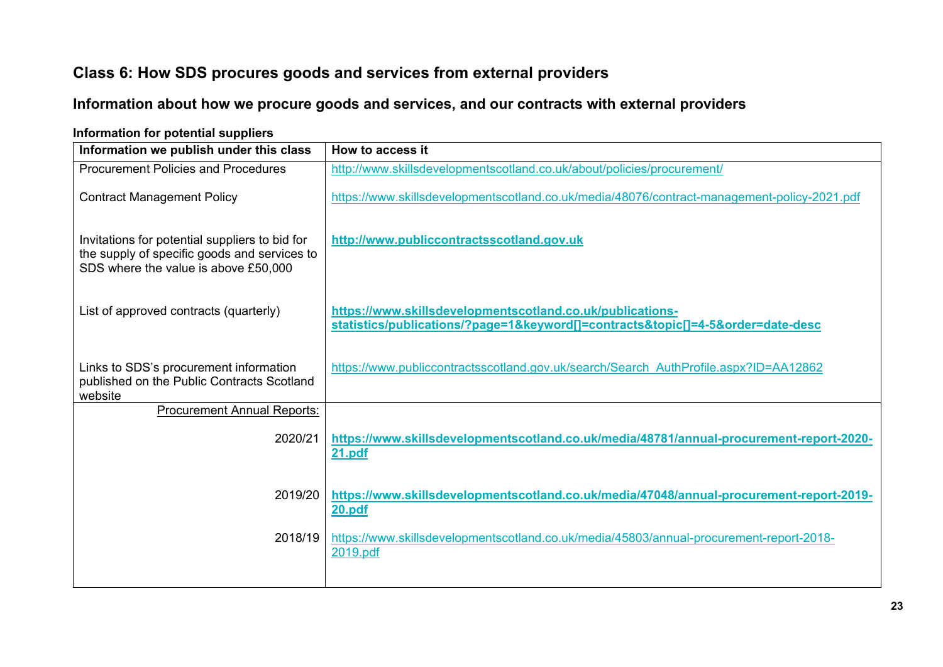# **Class 6: How SDS procures goods and services from external providers**

# **Information about how we procure goods and services, and our contracts with external providers**

<span id="page-22-0"></span>

| Information we publish under this class                                                                                                | How to access it                                                                                                                        |
|----------------------------------------------------------------------------------------------------------------------------------------|-----------------------------------------------------------------------------------------------------------------------------------------|
| <b>Procurement Policies and Procedures</b>                                                                                             | http://www.skillsdevelopmentscotland.co.uk/about/policies/procurement/                                                                  |
| <b>Contract Management Policy</b>                                                                                                      | https://www.skillsdevelopmentscotland.co.uk/media/48076/contract-management-policy-2021.pdf                                             |
| Invitations for potential suppliers to bid for<br>the supply of specific goods and services to<br>SDS where the value is above £50,000 | http://www.publiccontractsscotland.gov.uk                                                                                               |
| List of approved contracts (quarterly)                                                                                                 | https://www.skillsdevelopmentscotland.co.uk/publications-<br>statistics/publications/?page=1&keyword[]=contracts&topic[]=4-5ℴ=date-desc |
| Links to SDS's procurement information<br>published on the Public Contracts Scotland<br>website                                        | https://www.publiccontractsscotland.gov.uk/search/Search AuthProfile.aspx?ID=AA12862                                                    |
| <b>Procurement Annual Reports:</b>                                                                                                     |                                                                                                                                         |
| 2020/21                                                                                                                                | https://www.skillsdevelopmentscotland.co.uk/media/48781/annual-procurement-report-2020-<br>21.pdf                                       |
| 2019/20                                                                                                                                | https://www.skillsdevelopmentscotland.co.uk/media/47048/annual-procurement-report-2019-<br><b>20.pdf</b>                                |
| 2018/19                                                                                                                                | https://www.skillsdevelopmentscotland.co.uk/media/45803/annual-procurement-report-2018-<br>2019.pdf                                     |

#### **Information for potential suppliers**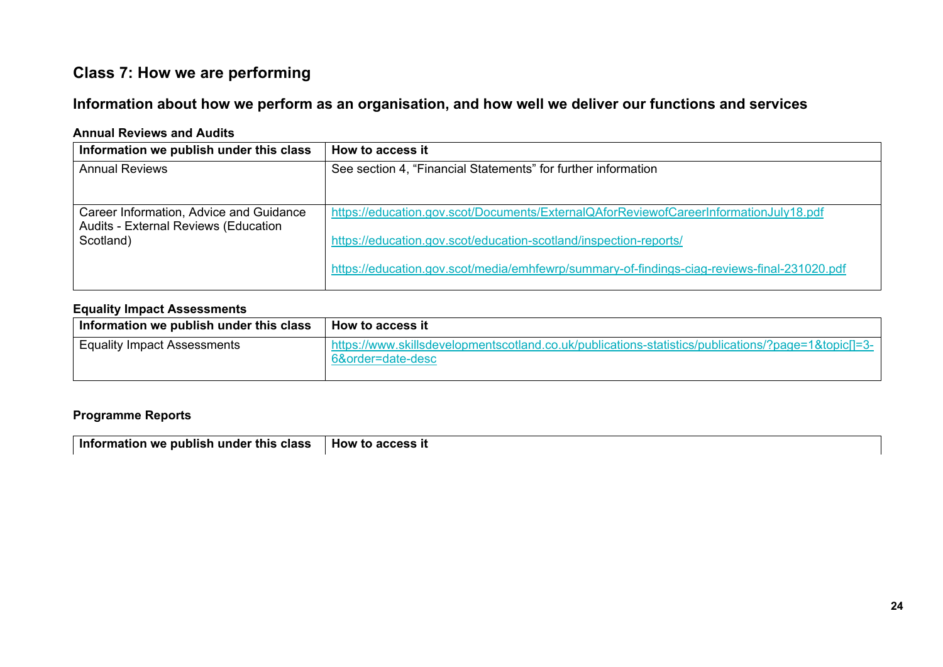# **Class 7: How we are performing**

### **Information about how we perform as an organisation, and how well we deliver our functions and services**

#### **Annual Reviews and Audits**

| Information we publish under this class           | How to access it                                                                            |
|---------------------------------------------------|---------------------------------------------------------------------------------------------|
| <b>Annual Reviews</b>                             | See section 4, "Financial Statements" for further information                               |
|                                                   |                                                                                             |
| Career Information, Advice and Guidance           | https://education.gov.scot/Documents/ExternalQAforReviewofCareerInformationJuly18.pdf       |
| Audits - External Reviews (Education<br>Scotland) | https://education.gov.scot/education-scotland/inspection-reports/                           |
|                                                   | https://education.gov.scot/media/emhfewrp/summary-of-findings-ciag-reviews-final-231020.pdf |

#### **Equality Impact Assessments**

<span id="page-23-0"></span>

| Information we publish under this class  | How to access it                                                                                                     |
|------------------------------------------|----------------------------------------------------------------------------------------------------------------------|
| <sup>1</sup> Equality Impact Assessments | - https://www.skillsdevelopmentscotland.co.uk/publications-statistics/publications/?page=1&topic[]=3<br>6ℴ=date-desc |

#### **Programme Reports**

**Information we publish under this class | How to access it**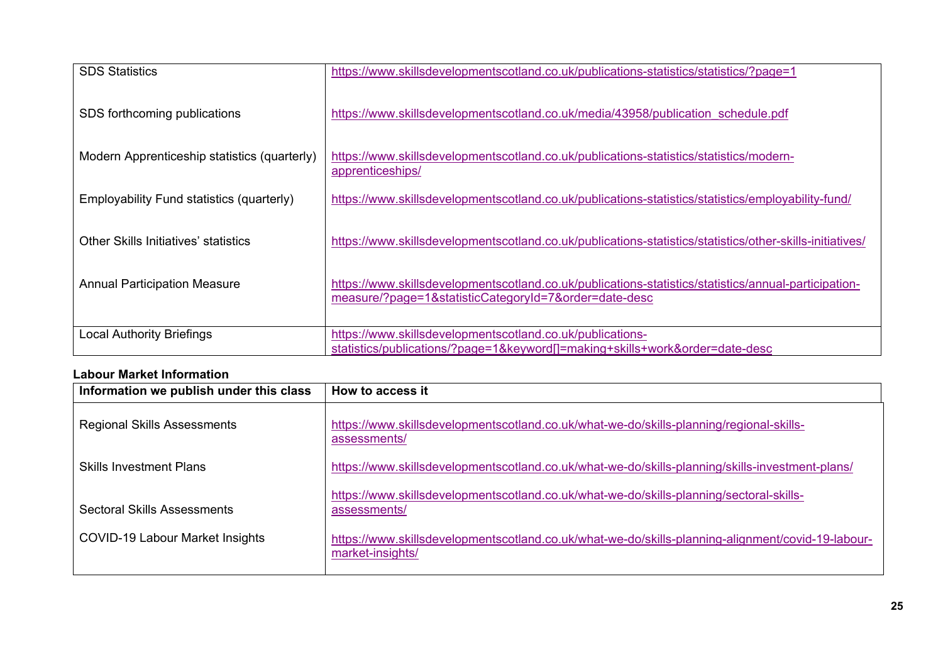| <b>SDS Statistics</b>                        | https://www.skillsdevelopmentscotland.co.uk/publications-statistics/statistics/?page=1                                                                   |
|----------------------------------------------|----------------------------------------------------------------------------------------------------------------------------------------------------------|
| SDS forthcoming publications                 | https://www.skillsdevelopmentscotland.co.uk/media/43958/publication schedule.pdf                                                                         |
| Modern Apprenticeship statistics (quarterly) | https://www.skillsdevelopmentscotland.co.uk/publications-statistics/statistics/modern-<br>apprenticeships/                                               |
| Employability Fund statistics (quarterly)    | https://www.skillsdevelopmentscotland.co.uk/publications-statistics/statistics/employability-fund/                                                       |
| Other Skills Initiatives' statistics         | https://www.skillsdevelopmentscotland.co.uk/publications-statistics/statistics/other-skills-initiatives/                                                 |
| <b>Annual Participation Measure</b>          | https://www.skillsdevelopmentscotland.co.uk/publications-statistics/statistics/annual-participation-<br>measure/?page=1&statisticCategoryId=7ℴ=date-desc |
| <b>Local Authority Briefings</b>             | https://www.skillsdevelopmentscotland.co.uk/publications-<br>statistics/publications/?page=1&keyword[]=making+skills+workℴ=date-desc                     |

#### **Labour Market Information**

| Information we publish under this class | How to access it                                                                                                      |
|-----------------------------------------|-----------------------------------------------------------------------------------------------------------------------|
| <b>Regional Skills Assessments</b>      | https://www.skillsdevelopmentscotland.co.uk/what-we-do/skills-planning/regional-skills-<br>assessments/               |
| <b>Skills Investment Plans</b>          | https://www.skillsdevelopmentscotland.co.uk/what-we-do/skills-planning/skills-investment-plans/                       |
| Sectoral Skills Assessments             | https://www.skillsdevelopmentscotland.co.uk/what-we-do/skills-planning/sectoral-skills-<br>assessments/               |
| <b>COVID-19 Labour Market Insights</b>  | https://www.skillsdevelopmentscotland.co.uk/what-we-do/skills-planning-alignment/covid-19-labour-<br>market-insights/ |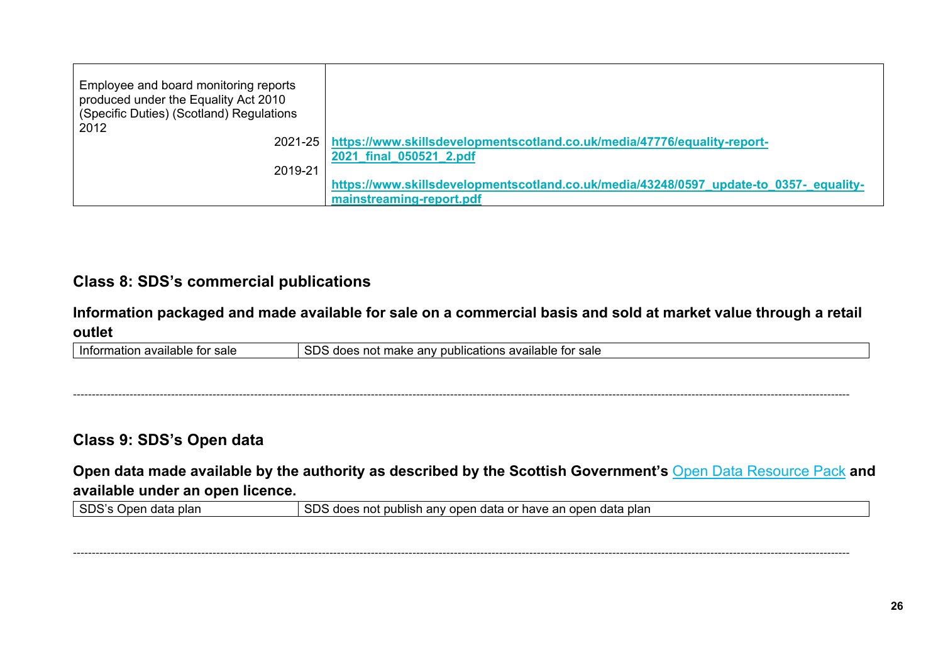| Employee and board monitoring reports<br>produced under the Equality Act 2010<br>(Specific Duties) (Scotland) Regulations<br>2012 |                                                                                        |
|-----------------------------------------------------------------------------------------------------------------------------------|----------------------------------------------------------------------------------------|
|                                                                                                                                   | 2021-25   https://www.skillsdevelopmentscotland.co.uk/media/47776/equality-report-     |
|                                                                                                                                   | 2021 final 050521 2.pdf                                                                |
| 2019-21                                                                                                                           |                                                                                        |
|                                                                                                                                   | https://www.skillsdevelopmentscotland.co.uk/media/43248/0597 update-to 0357- equality- |
|                                                                                                                                   | mainstreaming-report.pdf                                                               |

# **Class 8: SDS's commercial publications**

### **Information packaged and made available for sale on a commercial basis and sold at market value through a retail outlet**

| available for sale<br>Information | cnc<br>publications available for sale<br>not .<br>any pu<br>. make<br>i does<br>دى ر |
|-----------------------------------|---------------------------------------------------------------------------------------|
|-----------------------------------|---------------------------------------------------------------------------------------|

--------------------------------------------------------------------------------------------------------------------------------------------------------------------------------------------------------------

### **Class 9: SDS's Open data**

**Open data made available by the authority as described by the Scottish Government's** [Open Data Resource Pack](https://beta.gov.scot/publications/open-data-resource-pack-9781786524034/) **and available under an open licence.**

| ene <sup>,</sup><br>data<br>Inon<br>plar<br><b>SUSS ODER</b> | SDS<br>an<br>any open<br>open<br>plan<br>not p<br>⊥ data or have<br>data<br>does<br>. publish<br>uudo |
|--------------------------------------------------------------|-------------------------------------------------------------------------------------------------------|
|--------------------------------------------------------------|-------------------------------------------------------------------------------------------------------|

<span id="page-25-1"></span><span id="page-25-0"></span>--------------------------------------------------------------------------------------------------------------------------------------------------------------------------------------------------------------